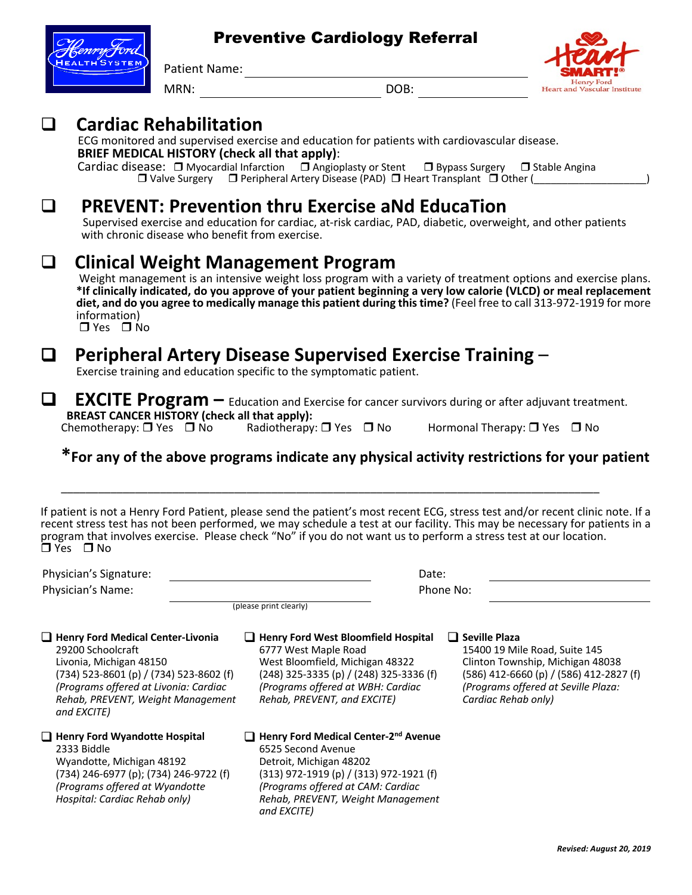### Preventive Cardiology Referral

**Henry Ford Heart and Vascular Institute** 

Patient Name: MRN: DOB:

**Q Cardiac Rehabilitation**<br>
ECG monitored and supervised exercise and education for patients with cardiovascular disease.<br> **BRIEF MEDICAL HISTORY (check all that apply)**:

**Cardiac disease:**  $\Box$  Myocardial Infarction  $\Box$  Angioplasty or Stent  $\Box$  Bypass Surgery  $\Box$  Stable Angina  $\Box$  Valve Surgery  $\Box$  Peripheral Artery Disease (PAD)  $\Box$  Heart Transplant  $\Box$  Other (

## **Q PREVENT: Prevention thru Exercise aNd EducaTion**<br>Supervised exercise and education for cardiac, at-risk cardiac, PAD, diabetic, overweight, and other patients

with chronic disease who benefit from exercise.

**Q Clinical Weight Management Program**<br>Weight management is an intensive weight loss program with a variety of treatment options and exercise plans. \*If clinically indicated, do you approve of your patient beginning a very low calorie (VLCD) or meal replacement **diet, and do you agree to medically manage this patient during this time?** (Feel free to call 313-972-1919 for more information)  $\Box$  Yes  $\Box$  No

# **Q Peripheral Artery Disease Supervised Exercise Training** – Exercise training and education specific to the symptomatic patient.

**EXCITE Program** – Education and Exercise for cancer survivors during or after adjuvant treatment.<br>**BREAST CANCER HISTORY (check all that apply): Chemotherapy:**  $\Box$  Yes  $\Box$  No Radiotherapy:  $\Box$  Yes  $\Box$  No Hormonal Therapy:  $\Box$  Yes  $\Box$  No

\_\_\_\_\_\_\_\_\_\_\_\_\_\_\_\_\_\_\_\_\_\_\_\_\_\_\_\_\_\_\_\_\_\_\_\_\_\_\_\_\_\_\_\_\_\_\_\_\_\_\_\_\_\_\_\_\_\_\_\_\_\_\_\_\_\_\_\_\_\_\_\_\_\_\_\_\_\_\_\_\_\_\_\_\_\_\_

## **\*For any of the above programs indicate any physical activity restrictions for your patient**

If patient is not a Henry Ford Patient, please send the patient's most recent ECG, stress test and/or recent clinic note. If a recent stress test has not been performed, we may schedule a test at our facility. This may be necessary for patients in a program that involves exercise. Please check "No" if you do not want us to perform a stress test at our location.<br>□ Yes □ No

Physician's Signature: Date: Physician's Name: Phone No:

*and EXCITE)*

(please print clearly)

**Q** Henry Ford Medical Center-Livonia 29200 Schoolcraft Livonia, Michigan 48150 (734) 523-8601 (p) / (734) 523-8602 (f) *(Programs offered at Livonia: Cardiac Rehab, PREVENT, Weight Management* 

**Q** Henry Ford Wyandotte Hospital 2333 Biddle

Wyandotte, Michigan 48192 (734) 246-6977 (p); (734) 246-9722 (f) *(Programs offered at Wyandotte Hospital: Cardiac Rehab only)*

q **Henry Ford West Bloomfield Hospital** q **Seville Plaza** 6777 West Maple Road West Bloomfield, Michigan 48322 (248) 325-3335 (p) / (248) 325-3336 (f) *(Programs offered at WBH: Cardiac Rehab, PREVENT, and EXCITE)*

**□ Henry Ford Medical Center-2<sup>nd</sup> Avenue** 6525 Second Avenue Detroit, Michigan 48202 (313) 972-1919 (p) / (313) 972-1921 (f) *(Programs offered at CAM: Cardiac Rehab, PREVENT, Weight Management and EXCITE)*

15400 19 Mile Road, Suite 145 Clinton Township, Michigan 48038 (586) 412-6660 (p) / (586) 412-2827 (f) *(Programs offered at Seville Plaza: Cardiac Rehab only)*